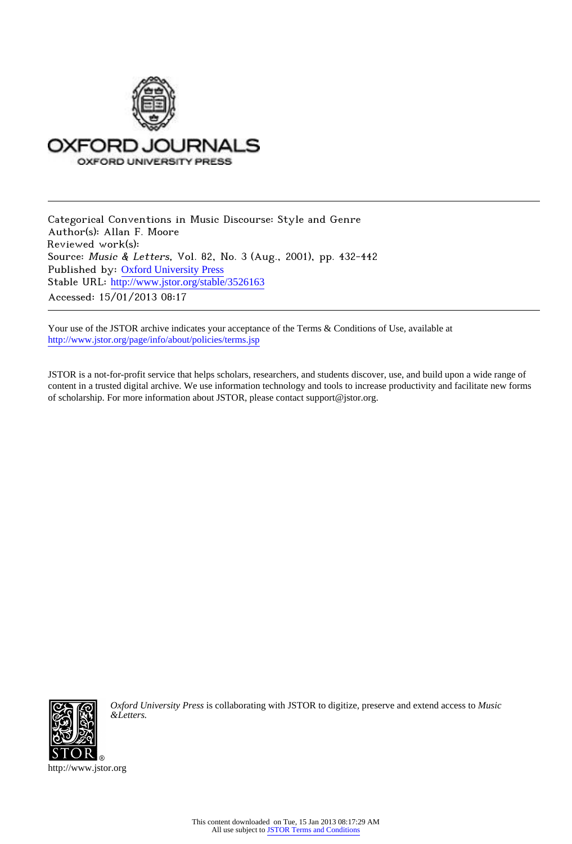

Categorical Conventions in Music Discourse: Style and Genre Author(s): Allan F. Moore Reviewed work(s): Source: Music & Letters, Vol. 82, No. 3 (Aug., 2001), pp. 432-442 Published by: [Oxford University Press](http://www.jstor.org/action/showPublisher?publisherCode=oup) Stable URL: [http://www.jstor.org/stable/3526163](http://www.jstor.org/stable/3526163?origin=JSTOR-pdf) Accessed: 15/01/2013 08:17

Your use of the JSTOR archive indicates your acceptance of the Terms & Conditions of Use, available at <http://www.jstor.org/page/info/about/policies/terms.jsp>

JSTOR is a not-for-profit service that helps scholars, researchers, and students discover, use, and build upon a wide range of content in a trusted digital archive. We use information technology and tools to increase productivity and facilitate new forms of scholarship. For more information about JSTOR, please contact support@jstor.org.



*Oxford University Press* is collaborating with JSTOR to digitize, preserve and extend access to *Music &Letters.*

http://www.jstor.org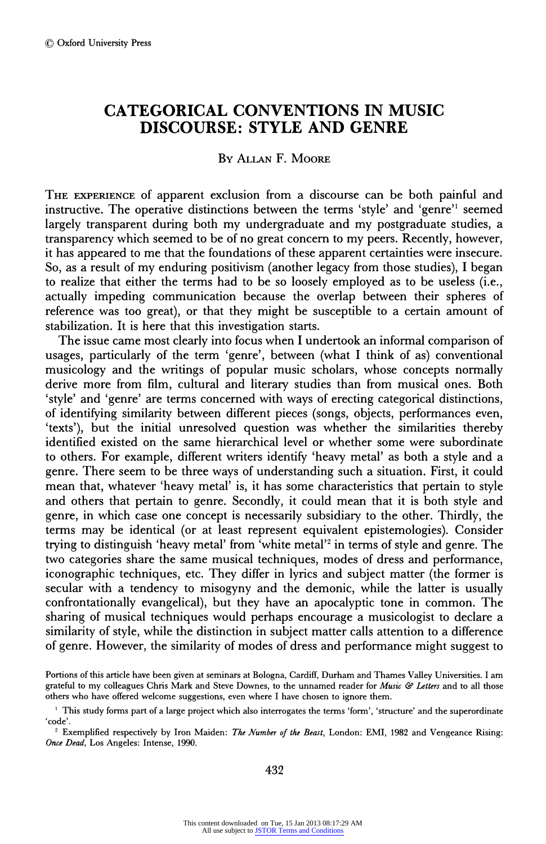## **CATEGORICAL CONVENTIONS IN MUSIC DISCOURSE: STYLE AND GENRE**

## **BY ALLAN F. MOORE**

**THE EXPERIENCE ofapparent exclusion from a discourse can be both painful and instructive. The operative distinctions between the terms 'style' and 'genre"1 seemed largely transparent during both my undergraduate and my postgraduate studies, a transparency which seemed to be of no great concern to my peers. Recently, however, it has appeared to me that the foundations of these apparent certainties were insecure. So, as a result of my enduring positivism (another legacy from those studies), I began to realize that either the terms had to be so loosely employed as to be useless (i.e., actually impeding communication because the overlap between their spheres of reference was too great), or that they might be susceptible to a certain amount of stabilization. It is here that this investigation starts.** 

**The issue came most clearly into focus when I undertook an informal comparison of usages, particularly of the term 'genre', between (what I think of as) conventional musicology and the writings of popular music scholars, whose concepts normally derive more from film, cultural and literary studies than from musical ones. Both 'style' and 'genre' are terms concerned with ways of erecting categorical distinctions, of identifying similarity between different pieces (songs, objects, performances even, 'texts'), but the initial unresolved question was whether the similarities thereby identified existed on the same hierarchical level or whether some were subordinate to others. For example, different writers identify 'heavy metal' as both a style and a genre. There seem to be three ways of understanding such a situation. First, it could mean that, whatever 'heavy metal' is, it has some characteristics that pertain to style and others that pertain to genre. Secondly, it could mean that it is both style and genre, in which case one concept is necessarily subsidiary to the other. Thirdly, the terms may be identical (or at least represent equivalent epistemologies). Consider trying to distinguish 'heavy metal' from 'white metal'2 in terms of style and genre. The two categories share the same musical techniques, modes of dress and performance, iconographic techniques, etc. They differ in lyrics and subject matter (the former is secular with a tendency to misogyny and the demonic, while the latter is usually confrontationally evangelical), but they have an apocalyptic tone in common. The sharing of musical techniques would perhaps encourage a musicologist to declare a similarity of style, while the distinction in subject matter calls attention to a difference of genre. However, the similarity of modes of dress and performance might suggest to** 

**Portions of this article have been given at seminars at Bologna, Cardiff, Durham and Thames Valley Universities. I am**  grateful to my colleagues Chris Mark and Steve Downes, to the unnamed reader for Music & Letters and to all those **others who have offered welcome suggestions, even where I have chosen to ignore them.** 

**<sup>1</sup>This study forms part of a large project which also interrogates the terms 'form', 'structure' and the superordinate 'code'.** 

**<sup>2</sup>Exemplified respectively by Iron Maiden: The Number of the Beast, London: EMI, 1982 and Vengeance Rising: Once Dead, Los Angeles: Intense, 1990.**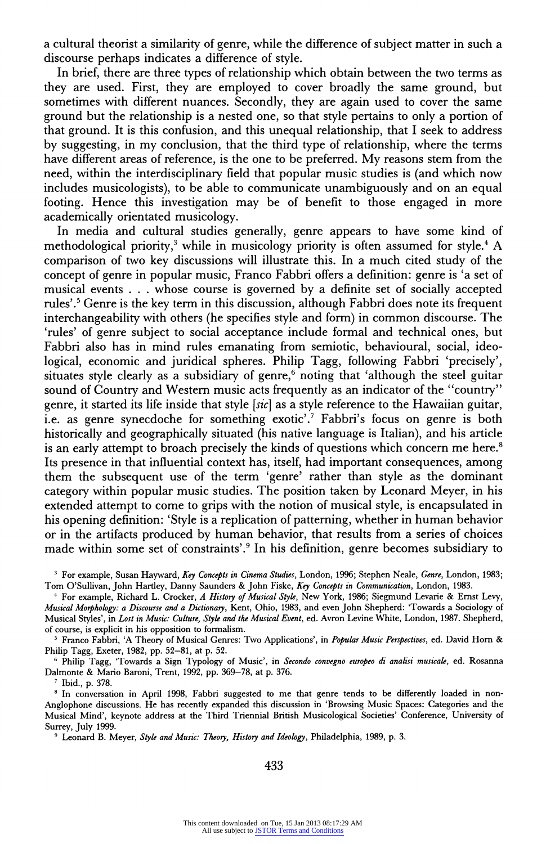**a cultural theorist a similarity of genre, while the difference of subject matter in such a discourse perhaps indicates a difference of style.** 

**In brief, there are three types of relationship which obtain between the two terms as they are used. First, they are employed to cover broadly the same ground, but sometimes with different nuances. Secondly, they are again used to cover the same ground but the relationship is a nested one, so that style pertains to only a portion of that ground. It is this confusion, and this unequal relationship, that I seek to address by suggesting, in my conclusion, that the third type of relationship, where the terms have different areas of reference, is the one to be preferred. My reasons stem from the need, within the interdisciplinary field that popular music studies is (and which now includes musicologists), to be able to communicate unambiguously and on an equal footing. Hence this investigation may be of benefit to those engaged in more academically orientated musicology.** 

**In media and cultural studies generally, genre appears to have some kind of**  methodological priority,<sup>3</sup> while in musicology priority is often assumed for style.<sup>4</sup> A **comparison of two key discussions will illustrate this. In a much cited study of the concept of genre in popular music, Franco Fabbri offers a definition: genre is 'a set of musical events . . . whose course is governed by a definite set of socially accepted rules'.5 Genre is the key term in this discussion, although Fabbri does note its frequent interchangeability with others (he specifies style and form) in common discourse. The 'rules' of genre subject to social acceptance include formal and technical ones, but Fabbri also has in mind rules emanating from semiotic, behavioural, social, ideological, economic and juridical spheres. Philip Tagg, following Fabbri 'precisely', situates style clearly as a subsidiary of genre,6 noting that 'although the steel guitar sound of Country and Western music acts frequently as an indicator of the "country" genre, it started its life inside that style [sic] as a style reference to the Hawaiian guitar, i.e. as genre synecdoche for something exotic'.7 Fabbri's focus on genre is both historically and geographically situated (his native language is Italian), and his article is an early attempt to broach precisely the kinds of questions which concern me here.8 Its presence in that influential context has, itself, had important consequences, among them the subsequent use of the term 'genre' rather than style as the dominant category within popular music studies. The position taken by Leonard Meyer, in his extended attempt to come to grips with the notion of musical style, is encapsulated in his opening definition: 'Style is a replication of patterning, whether in human behavior or in the artifacts produced by human behavior, that results from a series of choices made within some set of constraints'.9 In his definition, genre becomes subsidiary to** 

<sup>3</sup> For example, Susan Hayward, Key Concepts in Cinema Studies, London, 1996; Stephen Neale, Genre, London, 1983; **Tom O'Sullivan, John Hartley, Danny Saunders & John Fiske, Key Concepts in Communication, London, 1983.** 

**4 For example, Richard L. Crocker, A History of Musical Style, New York, 1986; Siegmund Levarie & Ernst Levy, Musical Morphology: a Discourse and a Dictionary, Kent, Ohio, 1983, and even John Shepherd: 'Towards a Sociology of Musical Styles', in Lost in Music: Culture, Style and the Musical Event, ed. Avron Levine White, London, 1987. Shepherd, of course, is explicit in his opposition to formalism.** 

**5 Franco Fabbri, 'A Theory of Musical Genres: Two Applications', in Popular Music Perspectives, ed. David Horn & Philip Tagg, Exeter, 1982, pp. 52-81, at p. 52.** 

**<sup>6</sup>Philip Tagg, 'Towards a Sign Typology of Music', in Secondo convegno europeo di analisi musicale, ed. Rosanna Dalmonte & Mario Baroni, Trent, 1992, pp. 369-78, at p. 376.** 

**7 Ibid., p. 378.** 

**8 In conversation in April 1998, Fabbri suggested to me that genre tends to be differently loaded in non-Anglophone discussions. He has recently expanded this discussion in 'Browsing Music Spaces: Categories and the Musical Mind', keynote address at the Third Triennial British Musicological Societies' Conference, University of Surrey, July 1999.** 

**9 Leonard B. Meyer, Style and Music: Theory, History and Ideology, Philadelphia, 1989, p. 3.** 

**433**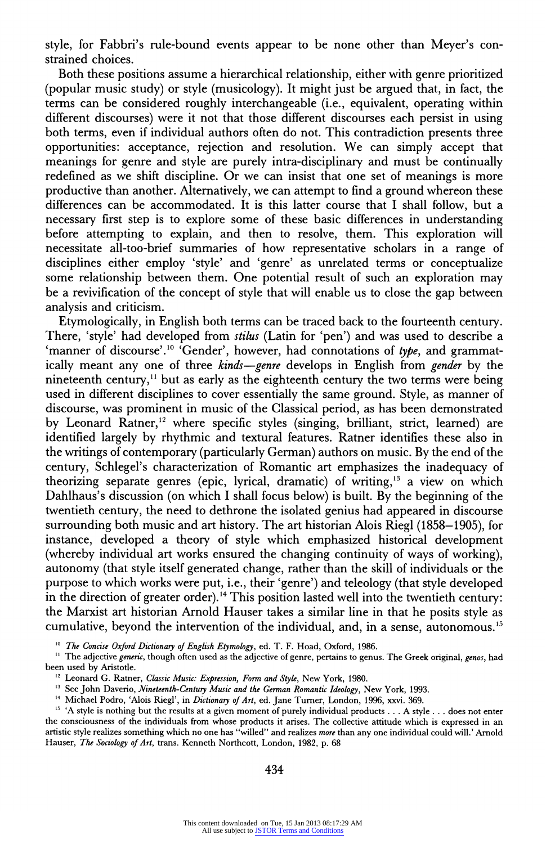**style, for Fabbri's rule-bound events appear to be none other than Meyer's constrained choices.** 

**Both these positions assume a hierarchical relationship, either with genre prioritized (popular music study) or style (musicology). It might just be argued that, in fact, the terms can be considered roughly interchangeable (i.e., equivalent, operating within different discourses) were it not that those different discourses each persist in using both terms, even if individual authors often do not. This contradiction presents three opportunities: acceptance, rejection and resolution. We can simply accept that meanings for genre and style are purely intra-disciplinary and must be continually redefined as we shift discipline. Or we can insist that one set of meanings is more productive than another. Alternatively, we can attempt to find a ground whereon these differences can be accommodated. It is this latter course that I shall follow, but a necessary first step is to explore some of these basic differences in understanding before attempting to explain, and then to resolve, them. This exploration will necessitate all-too-brief summaries of how representative scholars in a range of disciplines either employ 'style' and 'genre' as unrelated terms or conceptualize some relationship between them. One potential result of such an exploration may be a revivification of the concept of style that will enable us to close the gap between analysis and criticism.** 

**Etymologically, in English both terms can be traced back to the fourteenth century. There, 'style' had developed from stilus (Latin for 'pen') and was used to describe a**  'manner of discourse'.<sup>10</sup> <sup>*'*</sup>Gender', however, had connotations of *type*, and grammatically meant any one of three kinds-genre develops in English from gender by the **nineteenth century,<sup>11</sup> but as early as the eighteenth century the two terms were being used in different disciplines to cover essentially the same ground. Style, as manner of discourse, was prominent in music of the Classical period, as has been demonstrated by Leonard Ratner,"2 where specific styles (singing, brilliant, strict, learned) are identified largely by rhythmic and textural features. Ratner identifies these also in the writings of contemporary (particularly German) authors on music. By the end of the century, Schlegel's characterization of Romantic art emphasizes the inadequacy of theorizing separate genres (epic, lyrical, dramatic) of writing,'3 a view on which Dahlhaus's discussion (on which I shall focus below) is built. By the beginning of the twentieth century, the need to dethrone the isolated genius had appeared in discourse surrounding both music and art history. The art historian Alois Riegl (1858-1905), for instance, developed a theory of style which emphasized historical development (whereby individual art works ensured the changing continuity of ways of working), autonomy (that style itself generated change, rather than the skill of individuals or the purpose to which works were put, i.e., their 'genre') and teleology (that style developed**  in the direction of greater order).<sup>14</sup> This position lasted well into the twentieth century: **the Marxist art historian Arnold Hauser takes a similar line in that he posits style as cumulative, beyond the intervention of the individual, and, in a sense, autonomous."5** 

<sup>&</sup>lt;sup>10</sup> The Concise Oxford Dictionary of English Etymology, ed. T. F. Hoad, Oxford, 1986.

**<sup>&</sup>quot; The adjective generic, though often used as the adjective of genre, pertains to genus. The Greek original, genos, had been used by Aristotle.** 

<sup>&</sup>lt;sup>12</sup> Leonard G. Ratner, Classic Music: Expression, Form and Style, New York, 1980.

<sup>&</sup>lt;sup>13</sup> See John Daverio, Nineteenth-Century Music and the German Romantic Ideology, New York, 1993.

<sup>&</sup>lt;sup>14</sup> Michael Podro, 'Alois Riegl', in *Dictionary of Art*, ed. Jane Turner, London, 1996, xxvi. 369.

<sup>&</sup>lt;sup>15</sup> 'A style is nothing but the results at a given moment of purely individual products . . . A style . . . does not enter **the consciousness of the individuals from whose products it arises. The collective attitude which is expressed in an artistic style realizes something which no one has "willed" and realizes more than any one individual could will.' Arnold Hauser, The Sociology of Art, trans. Kenneth Northcott, London, 1982, p. 68**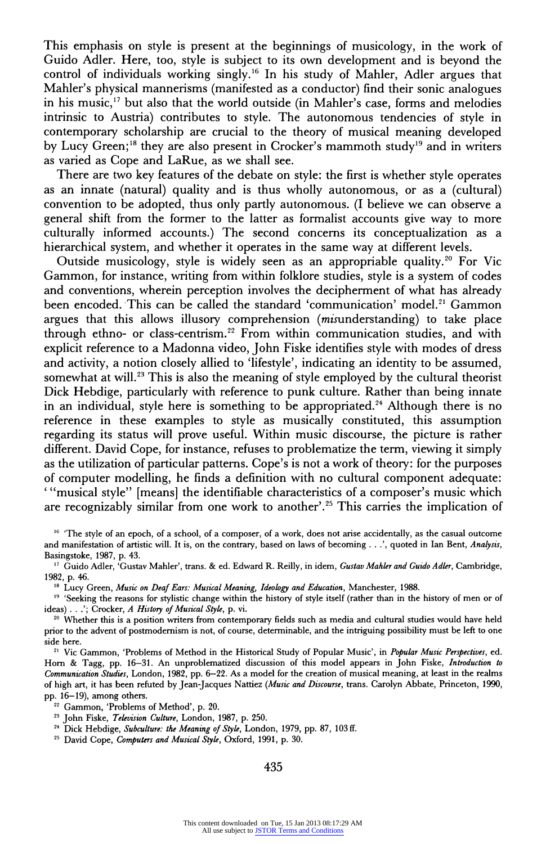**This emphasis on style is present at the beginnings of musicology, in the work of Guido Adler. Here, too, style is subject to its own development and is beyond the control of individuals working singly.16 In his study of Mahler, Adler argues that Mahler's physical mannerisms (manifested as a conductor) find their sonic analogues in his music,17 but also that the world outside (in Mahler's case, forms and melodies intrinsic to Austria) contributes to style. The autonomous tendencies of style in contemporary scholarship are crucial to the theory of musical meaning developed**  by Lucy Green;<sup>18</sup> they are also present in Crocker's mammoth study<sup>19</sup> and in writers **as varied as Cope and LaRue, as we shall see.** 

**There are two key features of the debate on style: the first is whether style operates as an innate (natural) quality and is thus wholly autonomous, or as a (cultural) convention to be adopted, thus only partly autonomous. (I believe we can observe a general shift from the former to the latter as formalist accounts give way to more culturally informed accounts.) The second concerns its conceptualization as a hierarchical system, and whether it operates in the same way at different levels.** 

**Outside musicology, style is widely seen as an appropriable quality.20 For Vic Gammon, for instance, writing from within folklore studies, style is a system of codes and conventions, wherein perception involves the decipherment of what has already**  been encoded. This can be called the standard 'communication' model.<sup>21</sup> Gammon **argues that this allows illusory comprehension (misunderstanding) to take place through ethno- or class-centrism.22 From within communication studies, and with explicit reference to a Madonna video, John Fiske identifies style with modes of dress and activity, a notion closely allied to 'lifestyle', indicating an identity to be assumed, somewhat at will.23 This is also the meaning of style employed by the cultural theorist Dick Hebdige, particularly with reference to punk culture. Rather than being innate in an individual, style here is something to be appropriated.24 Although there is no reference in these examples to style as musically constituted, this assumption regarding its status will prove useful. Within music discourse, the picture is rather different. David Cope, for instance, refuses to problematize the term, viewing it simply as the utilization of particular patterns. Cope's is not a work of theory: for the purposes of computer modelling, he finds a definition with no cultural component adequate: '"musical style" [means] the identifiable characteristics of a composer's music which are recognizably similar from one work to another'.25 This carries the implication of** 

<sup>18</sup> Lucy Green, Music on Deaf Ears: Musical Meaning, Ideology and Education, Manchester, 1988.

<sup>19</sup> 'Seeking the reasons for stylistic change within the history of style itself (rather than in the history of men or of **ideas) . . .'; Crocker, A History of Musical Style, p. vi.** 

**<sup>20</sup>Whether this is a position writers from contemporary fields such as media and cultural studies would have held prior to the advent of postmodernism is not, of course, determinable, and the intriguing possibility must be left to one side here.** 

<sup>21</sup> Vic Gammon, 'Problems of Method in the Historical Study of Popular Music', in *Popular Music Perspectives*, ed. **Horn & Tagg, pp. 16-31. An unproblematized discussion of this model appears in John Fiske, Introduction to Communication Studies, London, 1982, pp. 6-22. As a model for the creation of musical meaning, at least in the realms of high art, it has been refuted by Jean-Jacques Nattiez (Music and Discourse, trans. Carolyn Abbate, Princeton, 1990, pp. 16-19), among others.** 

**<sup>25</sup>David Cope, Computers and Musical Style, Oxford, 1991, p. 30.** 

<sup>&</sup>lt;sup>16</sup> 'The style of an epoch, of a school, of a composer, of a work, does not arise accidentally, as the casual outcome **and manifestation of artistic will. It is, on the contrary, based on laws of becoming. . .', quoted in Ian Bent, Analysis, Basingstoke, 1987, p. 43.** 

**<sup>17</sup>Guido Adler, 'Gustav Mahler', trans. & ed. Edward R. Reilly, in idem, Gustav Mahler and Guido Adler, Cambridge, 1982, p. 46.** 

**<sup>22</sup>Gammon, 'Problems of Method', p. 20.** 

**<sup>23</sup>John Fiske, Television Culture, London, 1987, p. 250.** 

<sup>&</sup>lt;sup>24</sup> Dick Hebdige, Subculture: the Meaning of Style, London, 1979, pp. 87, 103 ff.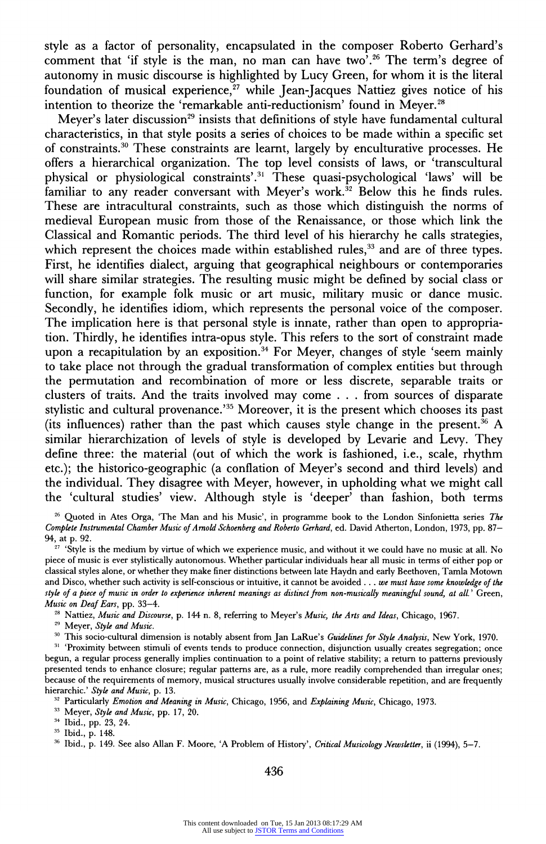**style as a factor of personality, encapsulated in the composer Roberto Gerhard's**  comment that 'if style is the man, no man can have two'.<sup>26</sup> The term's degree of **autonomy in music discourse is highlighted by Lucy Green, for whom it is the literal**  foundation of musical experience,<sup>27</sup> while Jean-Jacques Nattiez gives notice of his **intention to theorize the 'remarkable anti-reductionism' found in Meyer.28** 

Meyer's later discussion<sup>29</sup> insists that definitions of style have fundamental cultural **characteristics, in that style posits a series of choices to be made within a specific set of constraints.30 These constraints are learnt, largely by enculturative processes. He offers a hierarchical organization. The top level consists of laws, or 'transcultural physical or physiological constraints'.31 These quasi-psychological 'laws' will be**  familiar to any reader conversant with Meyer's work.<sup>32</sup> Below this he finds rules. **These are intracultural constraints, such as those which distinguish the norms of medieval European music from those of the Renaissance, or those which link the Classical and Romantic periods. The third level of his hierarchy he calls strategies,**  which represent the choices made within established rules,<sup>33</sup> and are of three types. **First, he identifies dialect, arguing that geographical neighbours or contemporaries will share similar strategies. The resulting music might be defined by social class or function, for example folk music or art music, military music or dance music. Secondly, he identifies idiom, which represents the personal voice of the composer. The implication here is that personal style is innate, rather than open to appropriation. Thirdly, he identifies intra-opus style. This refers to the sort of constraint made upon a recapitulation by an exposition.34 For Meyer, changes of style 'seem mainly to take place not through the gradual transformation of complex entities but through the permutation and recombination of more or less discrete, separable traits or clusters of traits. And the traits involved may come . . . from sources of disparate stylistic and cultural provenance.'35 Moreover, it is the present which chooses its past (its influences) rather than the past which causes style change in the present.36 A similar hierarchization of levels of style is developed by Levarie and Levy. They define three: the material (out of which the work is fashioned, i.e., scale, rhythm etc.); the historico-geographic (a conflation of Meyer's second and third levels) and the individual. They disagree with Meyer, however, in upholding what we might call the 'cultural studies' view. Although style is 'deeper' than fashion, both terms** 

**<sup>26</sup>Quoted in Ates Orga, 'The Man and his Music', in programme book to the London Sinfonietta series The Complete Instrumental Chamber Music of Arnold Schoenberg and Roberto Gerhard, ed. David Atherton, London, 1973, pp. 87- 94, at p. 92.** 

**<sup>27</sup>'Style is the medium by virtue of which we experience music, and without it we could have no music at all. No piece of music is ever stylistically autonomous. Whether particular individuals hear all music in terms of either pop or classical styles alone, or whether they make finer distinctions between late Haydn and early Beethoven, Tamla Motown and Disco, whether such activity is self-conscious or intuitive, it cannot be avoided . .. we must have some knowledge of the style of a piece of music in order to experience inherent meanings as distinct from non-musically meaningful sound, at all.' Green, Music on Deaf Ears, pp. 33-4.** 

<sup>28</sup> Nattiez, Music and Discourse, p. 144 n. 8, referring to Meyer's Music, the Arts and Ideas, Chicago, 1967.

**Meyer, Style and Music.** 

<sup>30</sup> This socio-cultural dimension is notably absent from Jan LaRue's Guidelines for Style Analysis, New York, 1970.

**<sup>31</sup>'Proximity between stimuli of events tends to produce connection, disjunction usually creates segregation; once begun, a regular process generally implies continuation to a point of relative stability; a return to patterns previously presented tends to enhance closure; regular patterns are, as a rule, more readily comprehended than irregular ones; because of the requirements of memory, musical structures usually involve considerable repetition, and are frequently hierarchic.' Style and Music, p. 13.** 

<sup>32</sup> Particularly *Emotion and Meaning in Music*, Chicago, 1956, and *Explaining Music*, Chicago, 1973.

**Meyer, Style and Music, pp. 17, 20.** 

**Ibid., pp. 23, 24.** 

**<sup>35</sup>Ibid., p. 148.** 

**<sup>36</sup>Ibid., p. 149. See also Allan F. Moore, 'A Problem of History', Critical Musicology Newsletter, ii (1994), 5-7.** 

**436**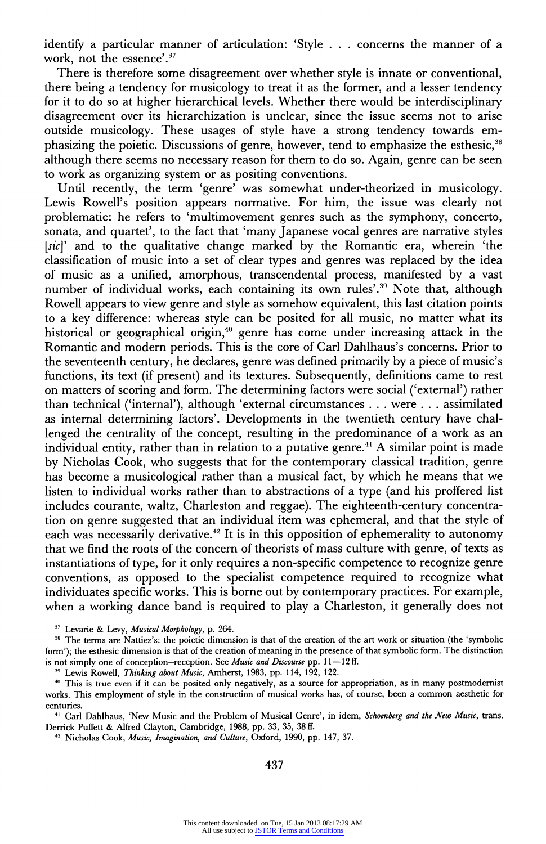**identify a particular manner of articulation: 'Style . . . concerns the manner of a work, not the essence'.37** 

**There is therefore some disagreement over whether style is innate or conventional, there being a tendency for musicology to treat it as the former, and a lesser tendency for it to do so at higher hierarchical levels. Whether there would be interdisciplinary disagreement over its hierarchization is unclear, since the issue seems not to arise outside musicology. These usages of style have a strong tendency towards emphasizing the poietic. Discussions of genre, however, tend to emphasize the esthesic,38 although there seems no necessary reason for them to do so. Again, genre can be seen to work as organizing system or as positing conventions.** 

**Until recently, the term 'genre' was somewhat under-theorized in musicology.**  Lewis Rowell's position appears normative. For him, the issue was clearly not **problematic: he refers to 'multimovement genres such as the symphony, concerto, sonata, and quartet', to the fact that 'many Japanese vocal genres are narrative styles [sic]' and to the qualitative change marked by the Romantic era, wherein 'the classification of music into a set of clear types and genres was replaced by the idea of music as a unified, amorphous, transcendental process, manifested by a vast number of individual works, each containing its own rules'.39 Note that, although Rowell appears to view genre and style as somehow equivalent, this last citation points to a key difference: whereas style can be posited for all music, no matter what its**  historical or geographical origin,<sup>40</sup> genre has come under increasing attack in the **Romantic and modern periods. This is the core of Carl Dahlhaus's concerns. Prior to the seventeenth century, he declares, genre was defined primarily by a piece of music's functions, its text (if present) and its textures. Subsequently, definitions came to rest on matters of scoring and form. The determining factors were social ('external') rather than technical ('internal'), although 'external circumstances . . . were . . . assimilated as internal determining factors'. Developments in the twentieth century have challenged the centrality of the concept, resulting in the predominance of a work as an**  individual entity, rather than in relation to a putative genre.<sup>41</sup> A similar point is made **by Nicholas Cook, who suggests that for the contemporary classical tradition, genre has become a musicological rather than a musical fact, by which he means that we listen to individual works rather than to abstractions of a type (and his proffered list includes courante, waltz, Charleston and reggae). The eighteenth-century concentration on genre suggested that an individual item was ephemeral, and that the style of each was necessarily derivative.42 It is in this opposition of ephemerality to autonomy that we find the roots of the concern of theorists of mass culture with genre, of texts as instantiations of type, for it only requires a non-specific competence to recognize genre conventions, as opposed to the specialist competence required to recognize what individuates specific works. This is borne out by contemporary practices. For example, when a working dance band is required to play a Charleston, it generally does not** 

**37 Levarie & Levy, Musical Morphology, p. 264.** 

**<sup>38</sup>The terms are Nattiez's: the poietic dimension is that of the creation of the art work or situation (the 'symbolic form'); the esthesic dimension is that of the creation of meaning in the presence of that symbolic form. The distinction**  is not simply one of conception-reception. See Music and Discourse pp. 11-12 ff.

<sup>39</sup> Lewis Rowell, *Thinking about Music*, Amherst, 1983, pp. 114, 192, 122.

**<sup>41</sup>Carl Dahlhaus, 'New Music and the Problem of Musical Genre', in idem, Schoenberg and the New Music, trans. Derrick Puffett & Alfred Clayton, Cambridge, 1988, pp. 33, 35, 38 ff.** 

**<sup>42</sup>Nicholas Cook, Music, Imagination, and Culture, Oxford, 1990, pp. 147, 37.** 

**<sup>40</sup> This is true even if it can be posited only negatively, as a source for appropriation, as in many postmodernist works. This employment of style in the construction of musical works has, of course, been a common aesthetic for centuries.**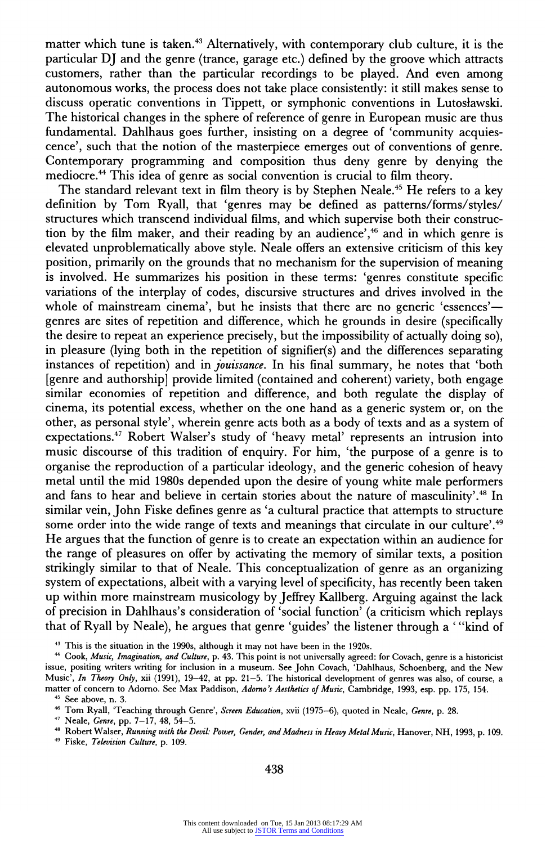matter which tune is taken.<sup>43</sup> Alternatively, with contemporary club culture, it is the **particular DJ and the genre (trance, garage etc.) defined by the groove which attracts customers, rather than the particular recordings to be played. And even among autonomous works, the process does not take place consistently: it still makes sense to discuss operatic conventions in Tippett, or symphonic conventions in Lutoslawski. The historical changes in the sphere of reference of genre in European music are thus fundamental. Dahlhaus goes further, insisting on a degree of 'community acquiescence', such that the notion of the masterpiece emerges out of conventions of genre. Contemporary programming and composition thus deny genre by denying the mediocre.44 This idea of genre as social convention is crucial to film theory.** 

**The standard relevant text in film theory is by Stephen Neale.45 He refers to a key definition by Tom Ryall, that 'genres may be defined as patterns/forms/styles/ structures which transcend individual films, and which supervise both their construc**tion by the film maker, and their reading by an audience',<sup>46</sup> and in which genre is **elevated unproblematically above style. Neale offers an extensive criticism of this key position, primarily on the grounds that no mechanism for the supervision of meaning is involved. He summarizes his position in these terms: 'genres constitute specific variations of the interplay of codes, discursive structures and drives involved in the**  whole of mainstream cinema', but he insists that there are no generic 'essences' **genres are sites of repetition and difference, which he grounds in desire (specifically the desire to repeat an experience precisely, but the impossibility of actually doing so), in pleasure (lying both in the repetition of signifier(s) and the differences separating instances of repetition) and in jouissance. In his final summary, he notes that 'both [genre and authorship] provide limited (contained and coherent) variety, both engage similar economies of repetition and difference, and both regulate the display of cinema, its potential excess, whether on the one hand as a generic system or, on the other, as personal style', wherein genre acts both as a body of texts and as a system of expectations.47 Robert Walser's study of 'heavy metal' represents an intrusion into music discourse of this tradition of enquiry. For him, 'the purpose of a genre is to organise the reproduction of a particular ideology, and the generic cohesion of heavy metal until the mid 1980s depended upon the desire of young white male performers and fans to hear and believe in certain stories about the nature of masculinity'.48 In similar vein, John Fiske defines genre as 'a cultural practice that attempts to structure some order into the wide range of texts and meanings that circulate in our culture'.49 He argues that the function of genre is to create an expectation within an audience for the range of pleasures on offer by activating the memory of similar texts, a position strikingly similar to that of Neale. This conceptualization of genre as an organizing system of expectations, albeit with a varying level of specificity, has recently been taken up within more mainstream musicology by Jeffrey Kallberg. Arguing against the lack of precision in Dahlhaus's consideration of 'social function' (a criticism which replays that of Ryall by Neale), he argues that genre 'guides' the listener through a '"kind of** 

**45 See above, n. 3.** 

**<sup>49</sup>Fiske, Television Culture, p. 109.** 

<sup>&</sup>lt;sup>43</sup> This is the situation in the 1990s, although it may not have been in the 1920s.<br><sup>44</sup> Cook, *Music, Imagination, and Culture*, p. 43. This point is not universally agreed: for Covach, genre is a historicist **issue, positing writers writing for inclusion in a museum. See John Covach, 'Dahlhaus, Schoenberg, and the New Music', In Theory Only, xii (1991), 19-42, at pp. 21-5. The historical development of genres was also, of course, a matter of concern to Adomo. See Max Paddison, Adorno's Aesthetics of Music, Cambridge, 1993, esp. pp. 175, 154.** 

<sup>&</sup>lt;sup>46</sup> Tom Ryall, 'Teaching through Genre', Screen Education, xvii (1975-6), quoted in Neale, Genre, p. 28.

**<sup>47</sup>Neale, Genre, pp. 7-17, 48, 54-5.** 

<sup>&</sup>lt;sup>48</sup> Robert Walser, Running with the Devil: Power, Gender, and Madness in Heavy Metal Music, Hanover, NH, 1993, p. 109.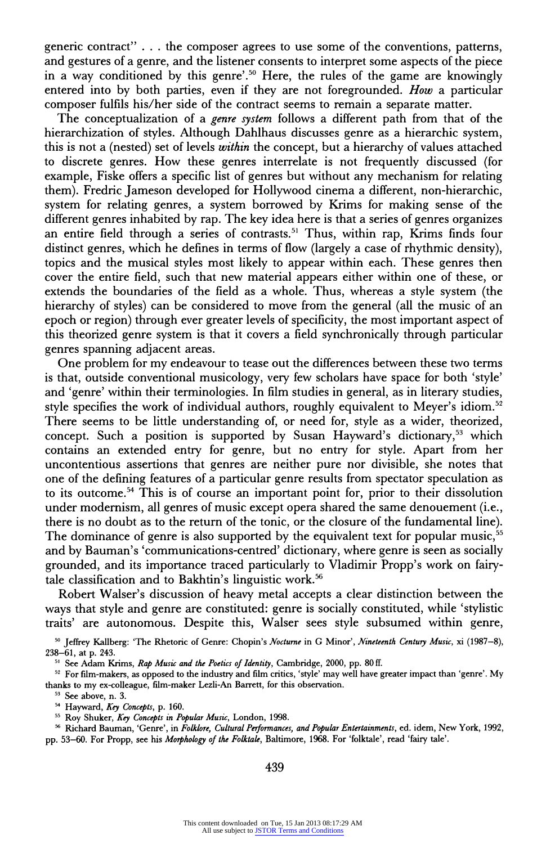**generic contract" . . . the composer agrees to use some of the conventions, patterns, and gestures of a genre, and the listener consents to interpret some aspects of the piece in a way conditioned by this genre'.50 Here, the rules of the game are knowingly entered into by both parties, even if they are not foregrounded. How a particular composer fulfils his/her side of the contract seems to remain a separate matter.** 

**The conceptualization of a genre system follows a different path from that of the hierarchization of styles. Although Dahlhaus discusses genre as a hierarchic system, this is not a (nested) set of levels within the concept, but a hierarchy of values attached to discrete genres. How these genres interrelate is not frequently discussed (for example, Fiske offers a specific list of genres but without any mechanism for relating them). Fredric Jameson developed for Hollywood cinema a different, non-hierarchic, system for relating genres, a system borrowed by Krims for making sense of the different genres inhabited by rap. The key idea here is that a series of genres organizes an entire field through a series of contrasts.51 Thus, within rap, Krims finds four distinct genres, which he defines in terms of flow (largely a case of rhythmic density), topics and the musical styles most likely to appear within each. These genres then cover the entire field, such that new material appears either within one of these, or extends the boundaries of the field as a whole. Thus, whereas a style system (the hierarchy of styles) can be considered to move from the general (all the music of an epoch or region) through ever greater levels of specificity, the most important aspect of this theorized genre system is that it covers a field synchronically through particular genres spanning adjacent areas.** 

**One problem for my endeavour to tease out the differences between these two terms is that, outside conventional musicology, very few scholars have space for both 'style' and 'genre' within their terminologies. In film studies in general, as in literary studies, style specifies the work of individual authors, roughly equivalent to Meyer's idiom.52 There seems to be little understanding of, or need for, style as a wider, theorized,**  concept. Such a position is supported by Susan Hayward's dictionary,<sup>53</sup> which **contains an extended entry for genre, but no entry for style. Apart from her uncontentious assertions that genres are neither pure nor divisible, she notes that one of the defining features of a particular genre results from spectator speculation as to its outcome.54 This is of course an important point for, prior to their dissolution under modernism, all genres of music except opera shared the same denouement (i.e., there is no doubt as to the return of the tonic, or the closure of the fundamental line).**  The dominance of genre is also supported by the equivalent text for popular music,<sup>55</sup> **and by Bauman's 'communications-centred' dictionary, where genre is seen as socially grounded, and its importance traced particularly to Vladimir Propp's work on fairytale classification and to Bakhtin's linguistic work.56** 

**Robert Walser's discussion of heavy metal accepts a clear distinction between the ways that style and genre are constituted: genre is socially constituted, while 'stylistic traits' are autonomous. Despite this, Walser sees style subsumed within genre,** 

**<sup>53</sup>See above, n. 3.** 

**6 Richard Bauman, 'Genre', in Folklore, Cultural Performances, and Popular Entertainments, ed. idem, New York, 1992, pp. 53-60. For Propp, see his Morphology of the Folktak, Baltimore, 1968. For 'folktale', read 'fairy tale'.** 

**<sup>50</sup>Jeffrey Kallberg: 'The Rhetoric of Genre: Chopin's Nocturne in G Minor', Nineteenth Century Music, xi (1987-8), 238-61, at p. 243.** 

**<sup>51</sup>See Adam Krims, Rap Music and the Poetics of Identity, Cambridge, 2000, pp. 80 ff.** 

**<sup>52</sup>For film-makers, as opposed to the industry and film critics, 'style' may well have greater impact than 'genre'. My thanks to my ex-colleague, film-maker Lezli-An Barrett, for this observation.** 

**<sup>54</sup> Hayward, Key Concepts, p. 160.** 

**<sup>55</sup>Roy Shuker, Key Concepts in Popular Music, London, 1998.**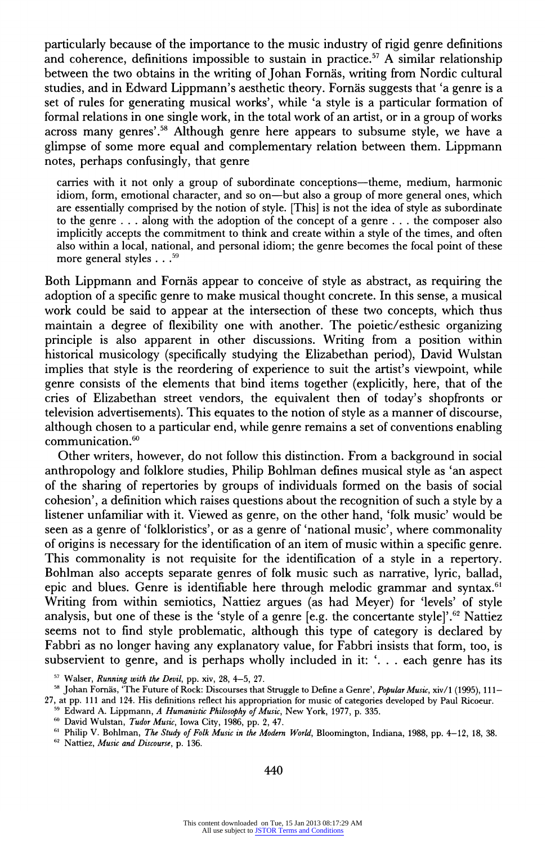**particularly because of the importance to the music industry of rigid genre definitions and coherence, definitions impossible to sustain in practice.57 A similar relationship**  between the two obtains in the writing of Johan Fornäs, writing from Nordic cultural studies, and in Edward Lippmann's aesthetic theory. Fornäs suggests that 'a genre is a **set of rules for generating musical works', while 'a style is a particular formation of formal relations in one single work, in the total work of an artist, or in a group of works across many genres'.58 Although genre here appears to subsume style, we have a glimpse of some more equal and complementary relation between them. Lippmann notes, perhaps confusingly, that genre** 

**carries with it not only a group of subordinate conceptions-theme, medium, harmonic idiom, form, emotional character, and so on-but also a group of more general ones, which are essentially comprised by the notion of style. [This] is not the idea of style as subordinate to the genre . . . along with the adoption of the concept of a genre . . . the composer also implicitly accepts the commitment to think and create within a style of the times, and often also within a local, national, and personal idiom; the genre becomes the focal point of these more general styles . . .59** 

Both Lippmann and Fornäs appear to conceive of style as abstract, as requiring the **adoption of a specific genre to make musical thought concrete. In this sense, a musical work could be said to appear at the intersection of these two concepts, which thus maintain a degree of flexibility one with another. The poietic/esthesic organizing principle is also apparent in other discussions. Writing from a position within historical musicology (specifically studying the Elizabethan period), David Wulstan implies that style is the reordering of experience to suit the artist's viewpoint, while genre consists of the elements that bind items together (explicitly, here, that of the cries of Elizabethan street vendors, the equivalent then of today's shopfronts or television advertisements). This equates to the notion of style as a manner of discourse, although chosen to a particular end, while genre remains a set of conventions enabling communication.60** 

**Other writers, however, do not follow this distinction. From a background in social anthropology and folklore studies, Philip Bohlman defines musical style as 'an aspect of the sharing of repertories by groups of individuals formed on the basis of social cohesion', a definition which raises questions about the recognition of such a style by a listener unfamiliar with it. Viewed as genre, on the other hand, 'folk music' would be seen as a genre of 'folkloristics', or as a genre of 'national music', where commonality of origins is necessary for the identification of an item of music within a specific genre. This commonality is not requisite for the identification of a style in a repertory. Bohlman also accepts separate genres of folk music such as narrative, lyric, ballad,**  epic and blues. Genre is identifiable here through melodic grammar and syntax.<sup>61</sup> **Writing from within semiotics, Nattiez argues (as had Meyer) for 'levels' of style analysis, but one of these is the 'style of a genre [e.g. the concertante style]'.62 Nattiez seems not to find style problematic, although this type of category is declared by Fabbri as no longer having any explanatory value, for Fabbri insists that form, too, is subservient to genre, and is perhaps wholly included in it: '. . each genre has its** 

**<sup>57</sup> Walser, Running with the Devil, pp. xiv, 28, 4-5, 27.** 

<sup>&</sup>lt;sup>58</sup> Johan Fornäs, 'The Future of Rock: Discourses that Struggle to Define a Genre', Popular Music, xiv/1 (1995), 111-**27, at pp. 111 and 124. His definitions reflect his appropriation for music of categories developed by Paul Ricoeur. 59 Edward A. Lippmann, A Humanistic Philosophy of Music, New York, 1977, p. 335.** 

**<sup>60</sup>David Wulstan, Tudor Music, Iowa City, 1986, pp. 2, 47.** 

**<sup>61</sup>Philip V. Bohlman, The Study of Folk Music in the Modern World, Bloomington, Indiana, 1988, pp. 4-12, 18, 38. <sup>62</sup>Nattiez, Music and Discourse, p. 136.**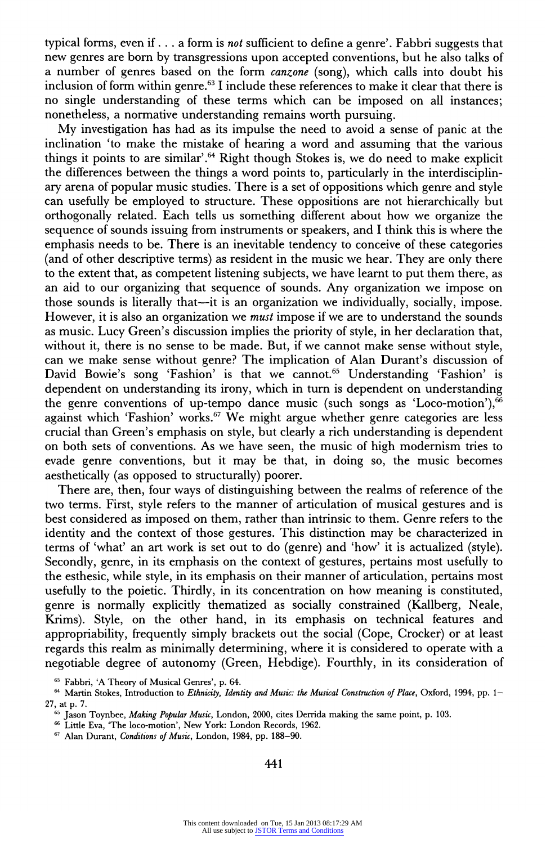**typical forms, even if... a form is not sufficient to define a genre'. Fabbri suggests that new genres are born by transgressions upon accepted conventions, but he also talks of a number of genres based on the form canzone (song), which calls into doubt his inclusion of form within genre.63 I include these references to make it clear that there is no single understanding of these terms which can be imposed on all instances; nonetheless, a normative understanding remains worth pursuing.** 

**My investigation has had as its impulse the need to avoid a sense of panic at the inclination 'to make the mistake of hearing a word and assuming that the various things it points to are similar'.64 Right though Stokes is, we do need to make explicit the differences between the things a word points to, particularly in the interdisciplinary arena of popular music studies. There is a set of oppositions which genre and style can usefully be employed to structure. These oppositions are not hierarchically but orthogonally related. Each tells us something different about how we organize the sequence of sounds issuing from instruments or speakers, and I think this is where the emphasis needs to be. There is an inevitable tendency to conceive of these categories (and of other descriptive terms) as resident in the music we hear. They are only there to the extent that, as competent listening subjects, we have learnt to put them there, as an aid to our organizing that sequence of sounds. Any organization we impose on those sounds is literally that-it is an organization we individually, socially, impose. However, it is also an organization we must impose if we are to understand the sounds as music. Lucy Green's discussion implies the priority of style, in her declaration that, without it, there is no sense to be made. But, if we cannot make sense without style, can we make sense without genre? The implication of Alan Durant's discussion of**  David Bowie's song 'Fashion' is that we cannot.<sup>65</sup> Understanding 'Fashion' is **dependent on understanding its irony, which in turn is dependent on understanding the genre conventions of up-tempo dance music (such songs as 'Loco-motion'),66 against which 'Fashion' works.67 We might argue whether genre categories are less crucial than Green's emphasis on style, but clearly a rich understanding is dependent on both sets of conventions. As we have seen, the music of high modernism tries to evade genre conventions, but it may be that, in doing so, the music becomes aesthetically (as opposed to structurally) poorer.** 

**There are, then, four ways of distinguishing between the realms of reference of the two terms. First, style refers to the manner of articulation of musical gestures and is best considered as imposed on them, rather than intrinsic to them. Genre refers to the identity and the context of those gestures. This distinction may be characterized in terms of 'what' an art work is set out to do (genre) and 'how' it is actualized (style). Secondly, genre, in its emphasis on the context of gestures, pertains most usefully to the esthesic, while style, in its emphasis on their manner of articulation, pertains most usefully to the poietic. Thirdly, in its concentration on how meaning is constituted, genre is normally explicitly thematized as socially constrained (Kallberg, Neale, Krims). Style, on the other hand, in its emphasis on technical features and appropriability, frequently simply brackets out the social (Cope, Crocker) or at least regards this realm as minimally determining, where it is considered to operate with a negotiable degree of autonomy (Green, Hebdige). Fourthly, in its consideration of** 

**<sup>63</sup>Fabbri, 'A Theory of Musical Genres', p. 64.** 

<sup>&</sup>lt;sup>64</sup> Martin Stokes, Introduction to *Ethnicity, Identity and Music: the Musical Construction of Place*, Oxford, 1994, pp. 1-**27, at p. 7.** 

**<sup>65</sup>Jason Toynbee, Making Popular Music, London, 2000, cites Derrida making the same point, p. 103.** 

**<sup>66</sup> Little Eva, 'The loco-motion', New York: London Records, 1962.** 

**<sup>67</sup>Alan Durant, Conditions of Music, London, 1984, pp. 188-90.**